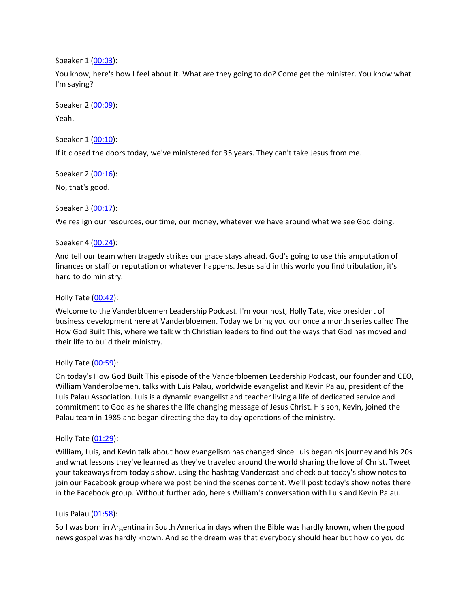Speaker 1 ([00:03](https://www.rev.com/transcript-editor/Edit?token=2EEth9WeJ54mnDNrz3kk0MdRaDb91-pxQv8bU72Fvj9IExLqCt3-EdCKIa9KgLvGNoUOPbJflBtRE_isFEXSl3dOcHY&loadFrom=DocumentDeeplink&ts=3.14)):

You know, here's how I feel about it. What are they going to do? Come get the minister. You know what I'm saying?

Speaker 2 ([00:09](https://www.rev.com/transcript-editor/Edit?token=ZL4_c086qR3mD9GJhzRtiUjfkXRVtOwr9mwyIhOYSQYwYb5_jkBMKxFzsIsMk-EY86qtvQv0umbo7-VDuFKy0AbwEJQ&loadFrom=DocumentDeeplink&ts=9.64)):

Yeah.

Speaker 1 ([00:10](https://www.rev.com/transcript-editor/Edit?token=HV38wUb_EUSdAdrdTxAmbar8xRq48UNAOfleqc7snMCIDyeNYHtX2MLG7scPE_95BxZ6yrRw7pTYbTQQux1cSOadTOE&loadFrom=DocumentDeeplink&ts=10.13)):

If it closed the doors today, we've ministered for 35 years. They can't take Jesus from me.

Speaker 2 ([00:16](https://www.rev.com/transcript-editor/Edit?token=HjvZUiMSZZnFLO3YmwnM7lutE6yxwh4YjBJKp15ryDXZulE5hQmFYF108SlSlcJvqvRkNWzsI-RCCTV5v5G-VtdkUPc&loadFrom=DocumentDeeplink&ts=16.75)): No, that's good.

Speaker 3 ([00:17](https://www.rev.com/transcript-editor/Edit?token=j60VVz4W34pWXVuWbGlCN-zbyAkJU2iItSyno8C_klL_ks2hqSS6JwQgoVlXsbnaupUONbvmOC3BoplBxRK-l8kKYe8&loadFrom=DocumentDeeplink&ts=17.37)):

We realign our resources, our time, our money, whatever we have around what we see God doing.

# Speaker 4 ([00:24](https://www.rev.com/transcript-editor/Edit?token=mAv2F3QO3KlsDvPC-X9RSb1lMFy3fJBApak7Po4Af3tObq1JVcTfB4ICzqk2DwdeEZVjI2lIFE3YicT6ZG6kr4Vf1Ac&loadFrom=DocumentDeeplink&ts=24.77)):

And tell our team when tragedy strikes our grace stays ahead. God's going to use this amputation of finances or staff or reputation or whatever happens. Jesus said in this world you find tribulation, it's hard to do ministry.

# Holly Tate ([00:42](https://www.rev.com/transcript-editor/Edit?token=qMqvkav4h3AqYIJZ7L_UdelY2afhya4Rfs5rAlJTwc45eKV7oKIfZpOpy7jylc-KVY11EsyyB-CrpDmmmL556YFiOX8&loadFrom=DocumentDeeplink&ts=42.28)):

Welcome to the Vanderbloemen Leadership Podcast. I'm your host, Holly Tate, vice president of business development here at Vanderbloemen. Today we bring you our once a month series called The How God Built This, where we talk with Christian leaders to find out the ways that God has moved and their life to build their ministry.

## Holly Tate ([00:59](https://www.rev.com/transcript-editor/Edit?token=cVnqlWCpfaAL4TaEMa2_gbRu41LOT7F5pmwPijeu8hSSlXLSiifUvvwC02K8DzR4U0CIh_Dn-Q2WgwQipgDjult5W3Y&loadFrom=DocumentDeeplink&ts=59.52)):

On today's How God Built This episode of the Vanderbloemen Leadership Podcast, our founder and CEO, William Vanderbloemen, talks with Luis Palau, worldwide evangelist and Kevin Palau, president of the Luis Palau Association. Luis is a dynamic evangelist and teacher living a life of dedicated service and commitment to God as he shares the life changing message of Jesus Christ. His son, Kevin, joined the Palau team in 1985 and began directing the day to day operations of the ministry.

## Holly Tate ([01:29](https://www.rev.com/transcript-editor/Edit?token=S1lIBDUfTLyZZ57pJx85RAOKHHr_9_GgqQh72I-uZM2uIeMJ_tuS2amWpnkIRqT8znhNSN0rC7weW5bJRR-9SmoRQZA&loadFrom=DocumentDeeplink&ts=89.44)):

William, Luis, and Kevin talk about how evangelism has changed since Luis began his journey and his 20s and what lessons they've learned as they've traveled around the world sharing the love of Christ. Tweet your takeaways from today's show, using the hashtag Vandercast and check out today's show notes to join our Facebook group where we post behind the scenes content. We'll post today's show notes there in the Facebook group. Without further ado, here's William's conversation with Luis and Kevin Palau.

# Luis Palau [\(01:58](https://www.rev.com/transcript-editor/Edit?token=fa7nPIyJwfum_0e7uo1XyF8lP1XgRVjNRCDnJ-AwyV6bi0sUd2FbKdtCM9j6PFzjSJ85stCUcin6LcNo2b8mCm2DAFo&loadFrom=DocumentDeeplink&ts=118.1)):

So I was born in Argentina in South America in days when the Bible was hardly known, when the good news gospel was hardly known. And so the dream was that everybody should hear but how do you do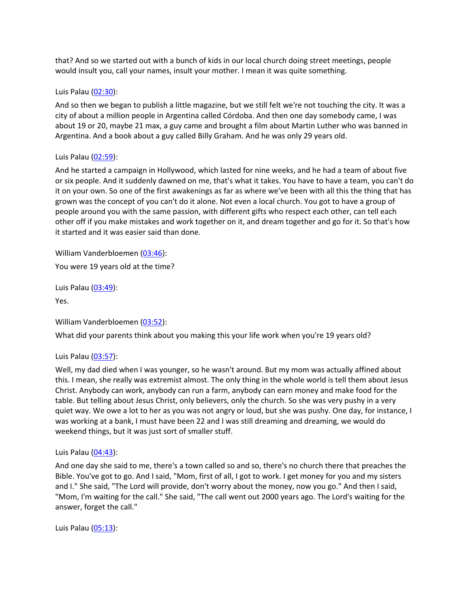that? And so we started out with a bunch of kids in our local church doing street meetings, people would insult you, call your names, insult your mother. I mean it was quite something.

### Luis Palau [\(02:30](https://www.rev.com/transcript-editor/Edit?token=dh65m6mqB-jVou_tvTyoH__do0_tZ1lVtc22A5pNFNb13jlV-e1YMCruzGUSt4lkGLQA0uaORsnLG0ml151oDUJMzzE&loadFrom=DocumentDeeplink&ts=150.58)):

And so then we began to publish a little magazine, but we still felt we're not touching the city. It was a city of about a million people in Argentina called Córdoba. And then one day somebody came, I was about 19 or 20, maybe 21 max, a guy came and brought a film about Martin Luther who was banned in Argentina. And a book about a guy called Billy Graham. And he was only 29 years old.

## Luis Palau [\(02:59](https://www.rev.com/transcript-editor/Edit?token=pI3eGkI6DB04leiypJHpvVeNUKdGrKUUXTgjsLymhtg3hvyL5AhYLwgIrUgW4KSCBzVOYO9Vriv4Ef2K6EI0bykOhdA&loadFrom=DocumentDeeplink&ts=179.09)):

And he started a campaign in Hollywood, which lasted for nine weeks, and he had a team of about five or six people. And it suddenly dawned on me, that's what it takes. You have to have a team, you can't do it on your own. So one of the first awakenings as far as where we've been with all this the thing that has grown was the concept of you can't do it alone. Not even a local church. You got to have a group of people around you with the same passion, with different gifts who respect each other, can tell each other off if you make mistakes and work together on it, and dream together and go for it. So that's how it started and it was easier said than done.

William Vanderbloemen [\(03:46](https://www.rev.com/transcript-editor/Edit?token=9_qNBLlyN_fCG_CRdQJC6wR7iorBVwTJiXOwJObYZnzr5DwH70W95H92pdT_EMc4HS_wsM5h5pSxzFEHLqLmWWl4QW0&loadFrom=DocumentDeeplink&ts=226.6)): You were 19 years old at the time?

Luis Palau [\(03:49](https://www.rev.com/transcript-editor/Edit?token=JprwvDSyMpUwKd3FCdp4FtsMFVXweLeCLlr6AcQ4WTMaUGiNa9XbgREc22yDrlHSD9y2_8H_JjuXXePJ_RNvNhRHoo0&loadFrom=DocumentDeeplink&ts=229.98)):

Yes.

William Vanderbloemen [\(03:52](https://www.rev.com/transcript-editor/Edit?token=9EELa1RWSPMCw91OTCNT8zelz2vPBM5HwHbtPi5sur3W0TF8Kg-5ShjxGe--2tLHXsxK-IJoEuqlhROctUv8h2vtDRY&loadFrom=DocumentDeeplink&ts=232.22)):

What did your parents think about you making this your life work when you're 19 years old?

Luis Palau [\(03:57](https://www.rev.com/transcript-editor/Edit?token=gLcbik_Q7gw8IYw4AkAXX7eAROeuUryzDTvS8ILIH7JOMD4wkDjFREocyj4KHS1SSgwEMGi80L52WzHDfwT0-_rB8BI&loadFrom=DocumentDeeplink&ts=237.11)):

Well, my dad died when I was younger, so he wasn't around. But my mom was actually affined about this. I mean, she really was extremist almost. The only thing in the whole world is tell them about Jesus Christ. Anybody can work, anybody can run a farm, anybody can earn money and make food for the table. But telling about Jesus Christ, only believers, only the church. So she was very pushy in a very quiet way. We owe a lot to her as you was not angry or loud, but she was pushy. One day, for instance, I was working at a bank, I must have been 22 and I was still dreaming and dreaming, we would do weekend things, but it was just sort of smaller stuff.

Luis Palau [\(04:43](https://www.rev.com/transcript-editor/Edit?token=6cEe9Ve6BJxnDvvXxIz4a3CV8nWNxEKHMc2yFD_FDO5L8frdSCmmZjrhlVWdGBwm96RGv3d2Hg0jaGfGj-qhcJTXBEo&loadFrom=DocumentDeeplink&ts=283.72)):

And one day she said to me, there's a town called so and so, there's no church there that preaches the Bible. You've got to go. And I said, "Mom, first of all, I got to work. I get money for you and my sisters and I." She said, "The Lord will provide, don't worry about the money, now you go." And then I said, "Mom, I'm waiting for the call." She said, "The call went out 2000 years ago. The Lord's waiting for the answer, forget the call."

Luis Palau [\(05:13](https://www.rev.com/transcript-editor/Edit?token=_NNT2amDfCQmi1mkvZqng6r-1mbYhiVOpRBYDb3aORZv8woV9pGCID3vM1-FZGr-RWCT89bDs3SRNBNH2sNOEFSajXY&loadFrom=DocumentDeeplink&ts=313.09)):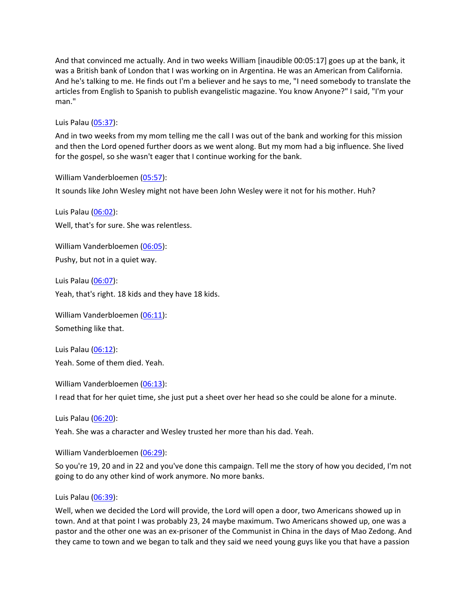And that convinced me actually. And in two weeks William [inaudible 00:05:17] goes up at the bank, it was a British bank of London that I was working on in Argentina. He was an American from California. And he's talking to me. He finds out I'm a believer and he says to me, "I need somebody to translate the articles from English to Spanish to publish evangelistic magazine. You know Anyone?" I said, "I'm your man."

Luis Palau [\(05:37](https://www.rev.com/transcript-editor/Edit?token=ruKMnghyBpSL50GBxkJ3Iif2A6UU7EA-PAcNF0-BuBD7gn7aPFn2rzsqIuoicKxZmL64G-G0woLI4jdsA--MKe6dTNI&loadFrom=DocumentDeeplink&ts=337.74)):

And in two weeks from my mom telling me the call I was out of the bank and working for this mission and then the Lord opened further doors as we went along. But my mom had a big influence. She lived for the gospel, so she wasn't eager that I continue working for the bank.

William Vanderbloemen [\(05:57](https://www.rev.com/transcript-editor/Edit?token=n4qhuVtdEVWycZFEyy3zu3mbHWeBXBQdm0feBPhNElIhHXWl4E5bHH-QFtBy2iZ6ucnP1QldXVlZ_J5GnCg7dbUVrgw&loadFrom=DocumentDeeplink&ts=357.45)):

It sounds like John Wesley might not have been John Wesley were it not for his mother. Huh?

Luis Palau [\(06:02](https://www.rev.com/transcript-editor/Edit?token=VCpkX96KtmeRlt5HCoALir1r4Dmt1QX1ucLP6UMgirNs-q3CnOqTxt7X534-iveKJ95X5GNkjqAx-QTxzHqGybK4yB0&loadFrom=DocumentDeeplink&ts=362.42)): Well, that's for sure. She was relentless.

William Vanderbloemen [\(06:05](https://www.rev.com/transcript-editor/Edit?token=DyZJrEXqRoUE72UpMyodAZZz0lZX313YpwQms85dZEDNdshRIcD5b8XUaqwm8odCxcZCZ67AqKAd5q4gYrIBXX96t0A&loadFrom=DocumentDeeplink&ts=365.64)): Pushy, but not in a quiet way.

Luis Palau [\(06:07](https://www.rev.com/transcript-editor/Edit?token=SEuV_WkZ7fkWrHenCmbSm0G0ahvKBrqk45ZZl8q-cFBtL3NjHVhI-UvKe0Z1lEe3Y-kOO7UJXfaUjlIeF8zX82Uu2Yk&loadFrom=DocumentDeeplink&ts=367.3)): Yeah, that's right. 18 kids and they have 18 kids.

William Vanderbloemen [\(06:11](https://www.rev.com/transcript-editor/Edit?token=NHF-XDTJfuEOocsYmFXefWeqO2nJFXp4zFgtDhOdZiA3_Bs_jdmbyR1q3ZD_ZvtXM5kR50hC-jDRTMR2LQWYfEjgeSw&loadFrom=DocumentDeeplink&ts=371.42)): Something like that.

Luis Palau [\(06:12](https://www.rev.com/transcript-editor/Edit?token=wgtU5Er1a52FhQK157On1Ls3Rs0RfhAi_HHhz64vOKTI9WDTObv9mFojZn5czyd5KRNVyUC7rbGHiMs31qK0z0ldgIc&loadFrom=DocumentDeeplink&ts=372.13)): Yeah. Some of them died. Yeah.

William Vanderbloemen [\(06:13](https://www.rev.com/transcript-editor/Edit?token=sHRUFe9ULjKknpFMyZFAjiJ1HH-mIykpQJ6iinqtxhKMCXkqFKcaMRJFOODeInR0X0Wb9tQP39Fwok4TCLpzO6JLlP4&loadFrom=DocumentDeeplink&ts=373.8)):

I read that for her quiet time, she just put a sheet over her head so she could be alone for a minute.

Luis Palau [\(06:20](https://www.rev.com/transcript-editor/Edit?token=nCKDlN10RBsMbBmRFT7uaq-c-SylRnmJ6pSvQu6BoBXYfFlEGUsm0dyNVqi0itEUFy83nXdy_8GaU_vfuRCaSiHKUtQ&loadFrom=DocumentDeeplink&ts=380.55)):

Yeah. She was a character and Wesley trusted her more than his dad. Yeah.

William Vanderbloemen [\(06:29](https://www.rev.com/transcript-editor/Edit?token=KpUQSlkFnv36xCTVT6BtcBoHgJLouneLGhtqy5WzQLgdggtuhxTOUvhm_nGCreDN4TaJzNzHic1xvSjW4Og4Zu9x90M&loadFrom=DocumentDeeplink&ts=389.07)):

So you're 19, 20 and in 22 and you've done this campaign. Tell me the story of how you decided, I'm not going to do any other kind of work anymore. No more banks.

Luis Palau [\(06:39](https://www.rev.com/transcript-editor/Edit?token=sPHJzWrBFXBFq5pOT6zf0OgHfvZ7XgFNkWQW8QUqM1VZhRsYVRTJE8FBXu6QE1kolu3HRWPXvRtk8ewYaH7uEsxqX0E&loadFrom=DocumentDeeplink&ts=399.21)):

Well, when we decided the Lord will provide, the Lord will open a door, two Americans showed up in town. And at that point I was probably 23, 24 maybe maximum. Two Americans showed up, one was a pastor and the other one was an ex-prisoner of the Communist in China in the days of Mao Zedong. And they came to town and we began to talk and they said we need young guys like you that have a passion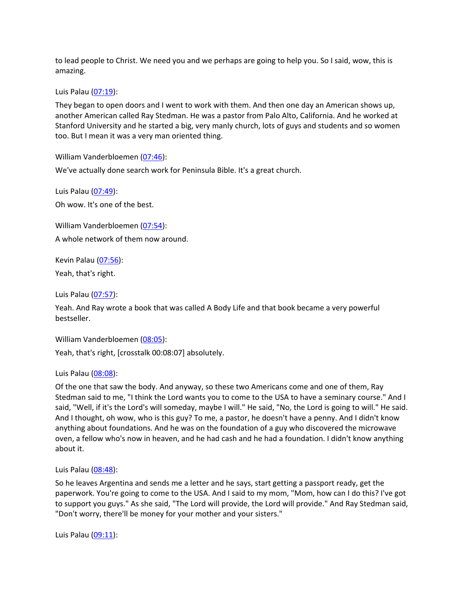to lead people to Christ. We need you and we perhaps are going to help you. So I said, wow, this is amazing.

Luis Palau [\(07:19](https://www.rev.com/transcript-editor/Edit?token=F2_F-5XWSXJvzgGoBMtM_-44pNoSo0_dK2-oglQPzpoySasmW4bIOSdyhHGFsDaGBEhPjEpwB4gWreY3-2lRsi3Suts&loadFrom=DocumentDeeplink&ts=439.35)):

They began to open doors and I went to work with them. And then one day an American shows up, another American called Ray Stedman. He was a pastor from Palo Alto, California. And he worked at Stanford University and he started a big, very manly church, lots of guys and students and so women too. But I mean it was a very man oriented thing.

William Vanderbloemen [\(07:46](https://www.rev.com/transcript-editor/Edit?token=v8KxLQPlZDYYoV3Uvz529-NrGlOWyJYECwoYdTUjw3b3JhfehrnMI35VQo68l4Qzhc6I6c_1yWrMwSQRB4gKj9oSDNI&loadFrom=DocumentDeeplink&ts=466.02)):

We've actually done search work for Peninsula Bible. It's a great church.

Luis Palau [\(07:49](https://www.rev.com/transcript-editor/Edit?token=CBvKTTY8Zj78HD5DBQlSo_0JCAyLnyI-thVrVHDg6wIzz3py8UQTFwJdVvkcvBUW0cHrDOgudNiRa0_af-hQ72d0LIM&loadFrom=DocumentDeeplink&ts=469.88)): Oh wow. It's one of the best.

William Vanderbloemen [\(07:54](https://www.rev.com/transcript-editor/Edit?token=L-AY4sbZKa5HdUcORrUSq5VjXy9lAhAiBOntJjJdfxW261UAlaKcInHBbhqUQltQI0JxRxi_cr2mhGPGitz8jm8ZX8g&loadFrom=DocumentDeeplink&ts=474.4)): A whole network of them now around.

Kevin Palau [\(07:56\)](https://www.rev.com/transcript-editor/Edit?token=fbHhTCtAi9DThtA-RAxah-ytpJ_DsiRqD_nCgohFG0Gsp9J5rbfdCIdIALdNpkHUCFJtNZZWgJZxXF3oy2aTaKliiE4&loadFrom=DocumentDeeplink&ts=476.3):

Yeah, that's right.

Luis Palau [\(07:57](https://www.rev.com/transcript-editor/Edit?token=xMVRLXWxroWATAIcFP6WHMG06n81DhpHfLhJ2gHTMFCRHVJOy-fA2zXHfDkZwfjX2PKS28UOlAFzwAxGi1QnvmR1xzI&loadFrom=DocumentDeeplink&ts=477.16)):

Yeah. And Ray wrote a book that was called A Body Life and that book became a very powerful bestseller.

William Vanderbloemen [\(08:05](https://www.rev.com/transcript-editor/Edit?token=vg-pZ3eAUUr3qeu5RduJCohKP6Imf9s5x9S1kUuFeqmI09Nl7ZJkQut5gCNOK9ZaB1auIXHW5pkyfs-gxumAJ_1hA84&loadFrom=DocumentDeeplink&ts=485.74)):

Yeah, that's right, [crosstalk 00:08:07] absolutely.

Luis Palau [\(08:08](https://www.rev.com/transcript-editor/Edit?token=2Nj3bsYPTcu2lYMIP5a5oFKpX94RxqZf5qRMQSPuB7JTiWcx14M83yKittm1c68VfzMrMOqH8YR0X8ALu5eIDShWn8g&loadFrom=DocumentDeeplink&ts=488.41)):

Of the one that saw the body. And anyway, so these two Americans come and one of them, Ray Stedman said to me, "I think the Lord wants you to come to the USA to have a seminary course." And I said, "Well, if it's the Lord's will someday, maybe I will." He said, "No, the Lord is going to will." He said. And I thought, oh wow, who is this guy? To me, a pastor, he doesn't have a penny. And I didn't know anything about foundations. And he was on the foundation of a guy who discovered the microwave oven, a fellow who's now in heaven, and he had cash and he had a foundation. I didn't know anything about it.

Luis Palau [\(08:48](https://www.rev.com/transcript-editor/Edit?token=tFGRFt4XiPwydfScJzv6LghbRYe0_0Yt3PHVdzztpI7SR8tXB1W-jzP8RC0DIvJmGlw7aKgVLCri1i_3OVbAUIgOzE4&loadFrom=DocumentDeeplink&ts=528.74)):

So he leaves Argentina and sends me a letter and he says, start getting a passport ready, get the paperwork. You're going to come to the USA. And I said to my mom, "Mom, how can I do this? I've got to support you guys." As she said, "The Lord will provide, the Lord will provide." And Ray Stedman said, "Don't worry, there'll be money for your mother and your sisters."

Luis Palau [\(09:11](https://www.rev.com/transcript-editor/Edit?token=bF0mXs3j1AzTm5yTCeK_2UOkPV8kkkzdax-UvAkRaA9obU4dprfKwfxs3_BCmmCSQCUdesUgHpMI954B6DZaZEzFMOs&loadFrom=DocumentDeeplink&ts=551.21)):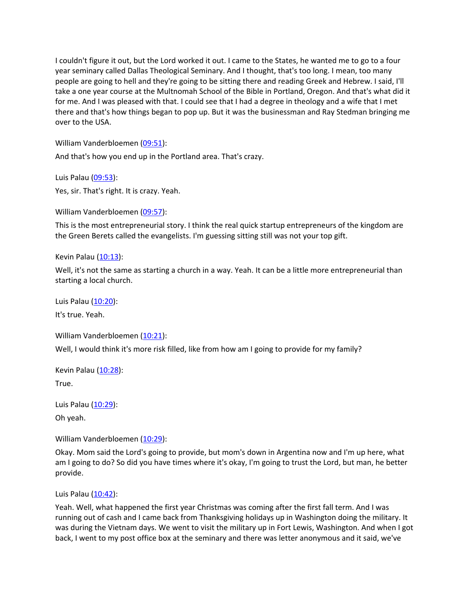I couldn't figure it out, but the Lord worked it out. I came to the States, he wanted me to go to a four year seminary called Dallas Theological Seminary. And I thought, that's too long. I mean, too many people are going to hell and they're going to be sitting there and reading Greek and Hebrew. I said, I'll take a one year course at the Multnomah School of the Bible in Portland, Oregon. And that's what did it for me. And I was pleased with that. I could see that I had a degree in theology and a wife that I met there and that's how things began to pop up. But it was the businessman and Ray Stedman bringing me over to the USA.

William Vanderbloemen [\(09:51](https://www.rev.com/transcript-editor/Edit?token=bxUl1NE07r_6UeEI7ZpAc5ECZqIegsXJIYFnc_qAOiE44KMuGPXFXwxsaJLuZiHFZH-ghCmAIsdAhRNKj_G1kLg8aE4&loadFrom=DocumentDeeplink&ts=591.17)):

And that's how you end up in the Portland area. That's crazy.

Luis Palau [\(09:53](https://www.rev.com/transcript-editor/Edit?token=Qi9SGcOXWog8ckCrvFnYTzvemjcTXWBSdvlUn1agjv3kmOIdCB3GaqcGhxo1qm5CGPvVBdAbOqadiG8XEi9MxdhoHOA&loadFrom=DocumentDeeplink&ts=593.65)):

Yes, sir. That's right. It is crazy. Yeah.

William Vanderbloemen [\(09:57](https://www.rev.com/transcript-editor/Edit?token=4EBAOSH_wMeELxW2pPRBWaOBQsC2oqYTbFCkWUxc-2-IPS8YkHsCyn4BS2G_SYoGF2B5Ltn_FXviaGTKzUF8z-zQpe4&loadFrom=DocumentDeeplink&ts=597.69)):

This is the most entrepreneurial story. I think the real quick startup entrepreneurs of the kingdom are the Green Berets called the evangelists. I'm guessing sitting still was not your top gift.

Kevin Palau [\(10:13\)](https://www.rev.com/transcript-editor/Edit?token=cUKRurIamkV10CK48z16VX3qFmn9Q4Yo-X1BZMHl7JxN3XY6pQkIMG7YCu9yemiwIAZwGodQC90ITAGNGG0uqmLgPsg&loadFrom=DocumentDeeplink&ts=613.27):

Well, it's not the same as starting a church in a way. Yeah. It can be a little more entrepreneurial than starting a local church.

Luis Palau [\(10:20](https://www.rev.com/transcript-editor/Edit?token=0HPtq_NXdkpoql1rd8JvJlWAh7FBcB0Yr90qR-O3q079aBHghSLgtMMqMvmTzaoSbLsn5VigoUMxDE9zYuTJtM98E-s&loadFrom=DocumentDeeplink&ts=620.03)):

It's true. Yeah.

William Vanderbloemen [\(10:21](https://www.rev.com/transcript-editor/Edit?token=sZu71X4XRnsIfPwMxHEZzpBtjZYgHXD5hulK2AugKgoYgEoatj1Ml3ytHcxHvYdMv8gE8awpuwcvEgW2tAhXOnVzo2g&loadFrom=DocumentDeeplink&ts=621.12)):

Well, I would think it's more risk filled, like from how am I going to provide for my family?

Kevin Palau  $(10:28)$ :

True.

Luis Palau [\(10:29](https://www.rev.com/transcript-editor/Edit?token=m4iLbzSHavOwHR8Vl8JFeQ69dKgkuFW7QvLwlhEgQgW_8ebCdpdomPLvGk1ov0aQHwWejhD3vc6j5wm4HDH4VUyEVAE&loadFrom=DocumentDeeplink&ts=629.29)):

Oh yeah.

William Vanderbloemen [\(10:29](https://www.rev.com/transcript-editor/Edit?token=VfGTWooaSgpgvKRwxFaBa_ZE-PH0xl4IGRQdDnyFWHWNK24IWa92kyP6CXr5pGX8HkZGIWPaN8lwZvUmioNug-JTRXQ&loadFrom=DocumentDeeplink&ts=629.83)):

Okay. Mom said the Lord's going to provide, but mom's down in Argentina now and I'm up here, what am I going to do? So did you have times where it's okay, I'm going to trust the Lord, but man, he better provide.

Luis Palau [\(10:42](https://www.rev.com/transcript-editor/Edit?token=qj5FfDWTr9LcxtcDSn-j_v9AnBSW9qSx_N350wMvTRKHg5LzhF2bocowMxcCUyj0G3zrnTtuozREfeKTTD0aUTOuNps&loadFrom=DocumentDeeplink&ts=642.38)):

Yeah. Well, what happened the first year Christmas was coming after the first fall term. And I was running out of cash and I came back from Thanksgiving holidays up in Washington doing the military. It was during the Vietnam days. We went to visit the military up in Fort Lewis, Washington. And when I got back, I went to my post office box at the seminary and there was letter anonymous and it said, we've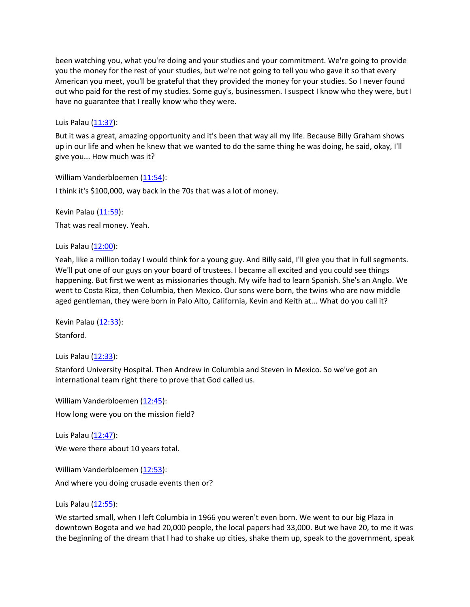been watching you, what you're doing and your studies and your commitment. We're going to provide you the money for the rest of your studies, but we're not going to tell you who gave it so that every American you meet, you'll be grateful that they provided the money for your studies. So I never found out who paid for the rest of my studies. Some guy's, businessmen. I suspect I know who they were, but I have no guarantee that I really know who they were.

Luis Palau  $(11:37)$  $(11:37)$ :

But it was a great, amazing opportunity and it's been that way all my life. Because Billy Graham shows up in our life and when he knew that we wanted to do the same thing he was doing, he said, okay, I'll give you... How much was it?

William Vanderbloemen [\(11:54](https://www.rev.com/transcript-editor/Edit?token=4RZZ6MPzbFlpokw-NCbUAUbfGi584NG2M5_rxLR3fZn8rPVjA2P1p3i0d1szjz3PEZFAgxIptFYOSsTLw59S_a3GBM0&loadFrom=DocumentDeeplink&ts=714.71)): I think it's \$100,000, way back in the 70s that was a lot of money.

Kevin Palau [\(11:59\)](https://www.rev.com/transcript-editor/Edit?token=oPqC9MkaaoUu6-g0qfq-C19DZiJDx8z0UUPn0gJwnc1l4GMVl4kisUsd9VNjtqV048nf52OR2mBh1wX5TofdsOxZeyQ&loadFrom=DocumentDeeplink&ts=719.36):

That was real money. Yeah.

Luis Palau [\(12:00](https://www.rev.com/transcript-editor/Edit?token=ZVGU2R9IzGuxOifWyMt72-8mvbOxqte4O8DCPIyaStEMVY9qhp-xLlb_HgHuewpPkkyOHakhmiMmP4rjYnViac7jARg&loadFrom=DocumentDeeplink&ts=720.66)):

Yeah, like a million today I would think for a young guy. And Billy said, I'll give you that in full segments. We'll put one of our guys on your board of trustees. I became all excited and you could see things happening. But first we went as missionaries though. My wife had to learn Spanish. She's an Anglo. We went to Costa Rica, then Columbia, then Mexico. Our sons were born, the twins who are now middle aged gentleman, they were born in Palo Alto, California, Kevin and Keith at... What do you call it?

Kevin Palau [\(12:33\)](https://www.rev.com/transcript-editor/Edit?token=AsIxdVfrTGJu0c_NrJ4u1WchACXJu2GGlUqX_RqIEavnJg2BHOwmxpi2rdO5UTK_HJvkD9k6PbFtzDzvdEHEjSAKHAQ&loadFrom=DocumentDeeplink&ts=753.19): Stanford.

Luis Palau [\(12:33](https://www.rev.com/transcript-editor/Edit?token=COJP65wpjWKqqEwoNthiQiecFelpIlopxXj6p1pvJBZhbVQL83fUjk2hbW4MOV18dwr1E8VB92oS_n6qJkR7eRNkpQM&loadFrom=DocumentDeeplink&ts=753.92)):

Stanford University Hospital. Then Andrew in Columbia and Steven in Mexico. So we've got an international team right there to prove that God called us.

William Vanderbloemen [\(12:45](https://www.rev.com/transcript-editor/Edit?token=MX9d8GKi5aiFva4go4GXYyvoSyUDOJlxvD7GZg2mb4yliAiWPaPD0fi3X0R_BR3N5G2SDWoqs6t1UdIwPl0GixuhlIE&loadFrom=DocumentDeeplink&ts=765.73)): How long were you on the mission field?

Luis Palau [\(12:47](https://www.rev.com/transcript-editor/Edit?token=Yh5rp58rWiUc0eklw5TMDmvOqS4nvxjXxTjKTJgahidSOliQ8RDVCHKdUsOlVOZkuaDxB_KchfRdPAIwTrB4Wsalf80&loadFrom=DocumentDeeplink&ts=767.77)): We were there about 10 years total.

William Vanderbloemen [\(12:53](https://www.rev.com/transcript-editor/Edit?token=gpSUDfVlENYWEOXq2_4oYXvvEy4WBSF9UgVOVfyV3T4gBnR5dZyYHLOMDO_HK9Iz8Y2MAhXb6zBYUCdkI98RgWFzFhM&loadFrom=DocumentDeeplink&ts=773.26)): And where you doing crusade events then or?

Luis Palau  $(12:55)$  $(12:55)$ :

We started small, when I left Columbia in 1966 you weren't even born. We went to our big Plaza in downtown Bogota and we had 20,000 people, the local papers had 33,000. But we have 20, to me it was the beginning of the dream that I had to shake up cities, shake them up, speak to the government, speak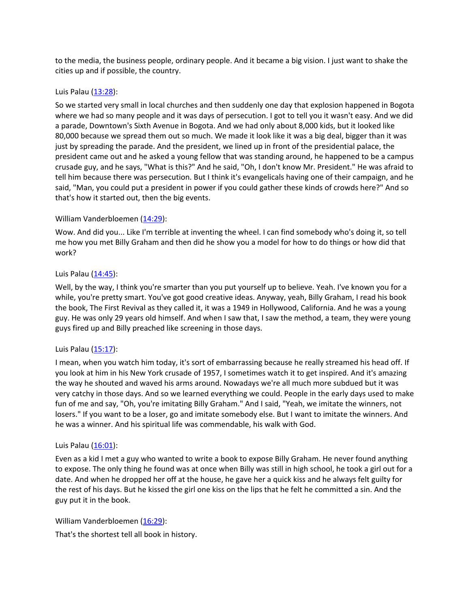to the media, the business people, ordinary people. And it became a big vision. I just want to shake the cities up and if possible, the country.

## Luis Palau [\(13:28](https://www.rev.com/transcript-editor/Edit?token=vOisEogYQuaCjpLzIj6pVj-vOuatuDcWCnRrqTUddwKdhpij0ZdCk-fSW5j9_Z6CVEhxJ-1o8UPfrj8cBE_s8pVGPQo&loadFrom=DocumentDeeplink&ts=808.83)):

So we started very small in local churches and then suddenly one day that explosion happened in Bogota where we had so many people and it was days of persecution. I got to tell you it wasn't easy. And we did a parade, Downtown's Sixth Avenue in Bogota. And we had only about 8,000 kids, but it looked like 80,000 because we spread them out so much. We made it look like it was a big deal, bigger than it was just by spreading the parade. And the president, we lined up in front of the presidential palace, the president came out and he asked a young fellow that was standing around, he happened to be a campus crusade guy, and he says, "What is this?" And he said, "Oh, I don't know Mr. President." He was afraid to tell him because there was persecution. But I think it's evangelicals having one of their campaign, and he said, "Man, you could put a president in power if you could gather these kinds of crowds here?" And so that's how it started out, then the big events.

# William Vanderbloemen [\(14:29](https://www.rev.com/transcript-editor/Edit?token=ep-7xpAj1jVKWT1-7qXYnjKeZcG1QMa5OH9zrjskbGeEfwkreeaMwoUtTCdLydXDaT4VSCBDui1Et3Fcnccyim9iW50&loadFrom=DocumentDeeplink&ts=869.19)):

Wow. And did you... Like I'm terrible at inventing the wheel. I can find somebody who's doing it, so tell me how you met Billy Graham and then did he show you a model for how to do things or how did that work?

# Luis Palau  $(14:45)$  $(14:45)$ :

Well, by the way, I think you're smarter than you put yourself up to believe. Yeah. I've known you for a while, you're pretty smart. You've got good creative ideas. Anyway, yeah, Billy Graham, I read his book the book, The First Revival as they called it, it was a 1949 in Hollywood, California. And he was a young guy. He was only 29 years old himself. And when I saw that, I saw the method, a team, they were young guys fired up and Billy preached like screening in those days.

## Luis Palau [\(15:17](https://www.rev.com/transcript-editor/Edit?token=4Sq8tIslgBkD6s9qIiBEXK_gPFh_aK4iykzGCl7tk7KIbf9yHEeZI1q7cXu8g-Pwslbe5aB6vAPzkrrbaCq-3rNDFv4&loadFrom=DocumentDeeplink&ts=917.41)):

I mean, when you watch him today, it's sort of embarrassing because he really streamed his head off. If you look at him in his New York crusade of 1957, I sometimes watch it to get inspired. And it's amazing the way he shouted and waved his arms around. Nowadays we're all much more subdued but it was very catchy in those days. And so we learned everything we could. People in the early days used to make fun of me and say, "Oh, you're imitating Billy Graham." And I said, "Yeah, we imitate the winners, not losers." If you want to be a loser, go and imitate somebody else. But I want to imitate the winners. And he was a winner. And his spiritual life was commendable, his walk with God.

## Luis Palau  $(16:01)$  $(16:01)$ :

Even as a kid I met a guy who wanted to write a book to expose Billy Graham. He never found anything to expose. The only thing he found was at once when Billy was still in high school, he took a girl out for a date. And when he dropped her off at the house, he gave her a quick kiss and he always felt guilty for the rest of his days. But he kissed the girl one kiss on the lips that he felt he committed a sin. And the guy put it in the book.

William Vanderbloemen [\(16:29](https://www.rev.com/transcript-editor/Edit?token=uViOzXfLL_OUKRzZXM1eATC2iW250HFEfe-J4-G4vERoPvUUuZ0RJSTP0HeOFECOs8TMQ5cYmBKaBCI3riDJOIZ6_qQ&loadFrom=DocumentDeeplink&ts=989.85)):

That's the shortest tell all book in history.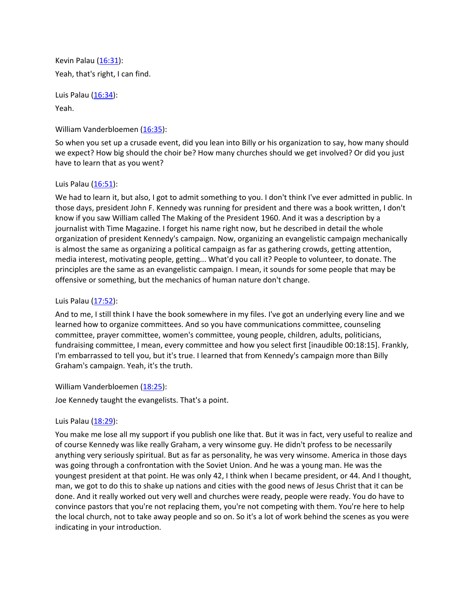Kevin Palau [\(16:31\)](https://www.rev.com/transcript-editor/Edit?token=os1HFgnKntj5lxw7ilMMA4tBwsNhvO_BlK1zJ9YCVjefKEQMERDr6TP_-vRMhIlFHv1ejgiiXCwqh3BPLIdDT093NAw&loadFrom=DocumentDeeplink&ts=991.58): Yeah, that's right, I can find.

Luis Palau [\(16:34](https://www.rev.com/transcript-editor/Edit?token=RvbDXfhP1HTA-fJTFMYQz-KnHFa4mDc97KJ-fDKvhbXPoYbR0NAwDxgpKsU7U0e5s6H0p-QL5MLpmSjyYpIC02NNsak&loadFrom=DocumentDeeplink&ts=994.51)): Yeah.

### William Vanderbloemen [\(16:35](https://www.rev.com/transcript-editor/Edit?token=rZBOFjgWd1FAUCl8MLLYXZ7QvsdTs_rCXquq4amsXE_YBLafNC2wPe96YWKUX_gRqV_nVsGNBoGMz4dip9rZSiRT5QA&loadFrom=DocumentDeeplink&ts=995.16)):

So when you set up a crusade event, did you lean into Billy or his organization to say, how many should we expect? How big should the choir be? How many churches should we get involved? Or did you just have to learn that as you went?

### Luis Palau  $(16:51)$  $(16:51)$ :

We had to learn it, but also, I got to admit something to you. I don't think I've ever admitted in public. In those days, president John F. Kennedy was running for president and there was a book written, I don't know if you saw William called The Making of the President 1960. And it was a description by a journalist with Time Magazine. I forget his name right now, but he described in detail the whole organization of president Kennedy's campaign. Now, organizing an evangelistic campaign mechanically is almost the same as organizing a political campaign as far as gathering crowds, getting attention, media interest, motivating people, getting... What'd you call it? People to volunteer, to donate. The principles are the same as an evangelistic campaign. I mean, it sounds for some people that may be offensive or something, but the mechanics of human nature don't change.

### Luis Palau [\(17:52](https://www.rev.com/transcript-editor/Edit?token=tQgPn5oikio4egOO1BGS84lITVwtvWS4_4VxcbuREcm0g7q4C_ceA9mhie2r6nqXqej78hpw6Dm0VOW3NvoNuMzCEGs&loadFrom=DocumentDeeplink&ts=1072.25)):

And to me, I still think I have the book somewhere in my files. I've got an underlying every line and we learned how to organize committees. And so you have communications committee, counseling committee, prayer committee, women's committee, young people, children, adults, politicians, fundraising committee, I mean, every committee and how you select first [inaudible 00:18:15]. Frankly, I'm embarrassed to tell you, but it's true. I learned that from Kennedy's campaign more than Billy Graham's campaign. Yeah, it's the truth.

### William Vanderbloemen [\(18:25](https://www.rev.com/transcript-editor/Edit?token=SYYr9-R_RKc3hvH971e8vGyJJvgptJG81ruJkE2CJc5K_QX8vNi48OlrTScX3dcdcLcSZdiaUZqT8m9W_xrU20tTalA&loadFrom=DocumentDeeplink&ts=1105.17)):

Joe Kennedy taught the evangelists. That's a point.

## Luis Palau [\(18:29](https://www.rev.com/transcript-editor/Edit?token=RNvLhfYBeD-QqZNqvgfErrRdnPMT4lncjPOiX9MIilCkQlNsThaNv2Et8hDZpUvH_52S7wOsgszgrkmnkxHHHno_J_8&loadFrom=DocumentDeeplink&ts=1109.58)):

You make me lose all my support if you publish one like that. But it was in fact, very useful to realize and of course Kennedy was like really Graham, a very winsome guy. He didn't profess to be necessarily anything very seriously spiritual. But as far as personality, he was very winsome. America in those days was going through a confrontation with the Soviet Union. And he was a young man. He was the youngest president at that point. He was only 42, I think when I became president, or 44. And I thought, man, we got to do this to shake up nations and cities with the good news of Jesus Christ that it can be done. And it really worked out very well and churches were ready, people were ready. You do have to convince pastors that you're not replacing them, you're not competing with them. You're here to help the local church, not to take away people and so on. So it's a lot of work behind the scenes as you were indicating in your introduction.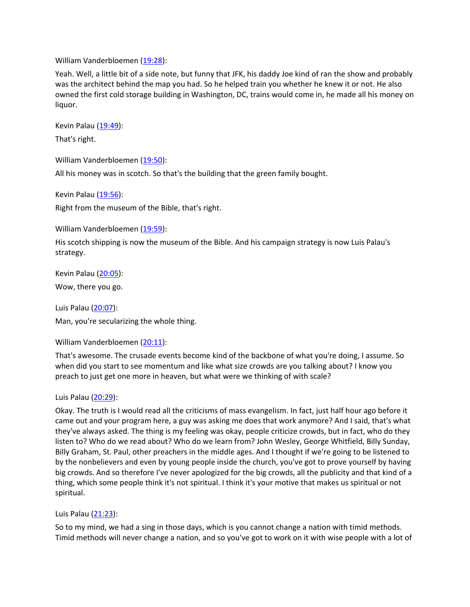William Vanderbloemen [\(19:28](https://www.rev.com/transcript-editor/Edit?token=3jz6OW--z2GBzQvFdlVOZ22QnaTkTCDFFkuGI14nRoN2KCvxSqTi3tv2qRP-EXzkFsM1jNLWKuTBjxtoDnh6fEyMmJk&loadFrom=DocumentDeeplink&ts=1168.94)):

Yeah. Well, a little bit of a side note, but funny that JFK, his daddy Joe kind of ran the show and probably was the architect behind the map you had. So he helped train you whether he knew it or not. He also owned the first cold storage building in Washington, DC, trains would come in, he made all his money on liquor.

Kevin Palau [\(19:49\)](https://www.rev.com/transcript-editor/Edit?token=8Syd2_vPfHz5XiPsAogGA94jRfTJWpcfIbn4GY6qrj6-VtlVfcs-cTBrfsYh7XqqwklrMJPNtACUK0Uyde8CKBxBgco&loadFrom=DocumentDeeplink&ts=1189.43):

That's right.

William Vanderbloemen [\(19:50](https://www.rev.com/transcript-editor/Edit?token=qjLam3-r74LX2-jcXK9lLw62RxLlA-_CHaPSaDbpH_m2zzb5FChSjAhpLTyp-HgDl0mO0tXCGN3szopW0_H4ItDiBhs&loadFrom=DocumentDeeplink&ts=1190.58)):

All his money was in scotch. So that's the building that the green family bought.

Kevin Palau [\(19:56\)](https://www.rev.com/transcript-editor/Edit?token=WRv6R_yLutRdP-FrkqIr40SoktxnJRsyi0T4Hs-bh9AB1jsiMMkgbzv5Af_cTxejgVWhJl-nk7a5nyqb7ipm94jC4G8&loadFrom=DocumentDeeplink&ts=1196.56):

Right from the museum of the Bible, that's right.

William Vanderbloemen [\(19:59](https://www.rev.com/transcript-editor/Edit?token=Fc1x9-7pypyO2ZtLxRhBS8yAToQKktn9jAkzCW4RmF_obU2h64Fzo0QzDg9Wg20byVuP-S6sw8-503BAK86ShPuGxio&loadFrom=DocumentDeeplink&ts=1199.99)):

His scotch shipping is now the museum of the Bible. And his campaign strategy is now Luis Palau's strategy.

Kevin Palau [\(20:05\)](https://www.rev.com/transcript-editor/Edit?token=uXhGKezWh6CmtiFfOiWjiaQYQ9vq8pvUyvSljB9vsAY72rE3Y3Pm-6DyC5Z4tudkPMYIdOsS2oEzbKalksM-x5_eBpA&loadFrom=DocumentDeeplink&ts=1205.95): Wow, there you go.

Luis Palau [\(20:07](https://www.rev.com/transcript-editor/Edit?token=hodFJK94rs9RReEIeaMmOkGVrUM2_r1b6-V_kfmL6TREBkkl9E-NVYIS9NF4YPmg6lp-_FqXnOMil8AJnCAc9YhnFWc&loadFrom=DocumentDeeplink&ts=1207.41)):

Man, you're secularizing the whole thing.

William Vanderbloemen [\(20:11](https://www.rev.com/transcript-editor/Edit?token=j8bfUBhaAzbwQIwkTU_3kjJwR8pkOyBNyOHUrdmD-JGawM2aFHpxAqFH4vpW7yB0OD4Wfp2bpouL-dwiDSRCEONZqJc&loadFrom=DocumentDeeplink&ts=1211.72)):

That's awesome. The crusade events become kind of the backbone of what you're doing, I assume. So when did you start to see momentum and like what size crowds are you talking about? I know you preach to just get one more in heaven, but what were we thinking of with scale?

Luis Palau [\(20:29](https://www.rev.com/transcript-editor/Edit?token=KiGB43FFMDH0w_96gT7A1stjAzhQrXkEjcREkIzrEZJgZBquvLsnO3mxGCcTo8DFAMbKJb-iU7E6vTWfegLqvGDfjE8&loadFrom=DocumentDeeplink&ts=1229.41)):

Okay. The truth is I would read all the criticisms of mass evangelism. In fact, just half hour ago before it came out and your program here, a guy was asking me does that work anymore? And I said, that's what they've always asked. The thing is my feeling was okay, people criticize crowds, but in fact, who do they listen to? Who do we read about? Who do we learn from? John Wesley, George Whitfield, Billy Sunday, Billy Graham, St. Paul, other preachers in the middle ages. And I thought if we're going to be listened to by the nonbelievers and even by young people inside the church, you've got to prove yourself by having big crowds. And so therefore I've never apologized for the big crowds, all the publicity and that kind of a thing, which some people think it's not spiritual. I think it's your motive that makes us spiritual or not spiritual.

Luis Palau [\(21:23](https://www.rev.com/transcript-editor/Edit?token=Lstiioo-6sIQzrw3voqZTznEgHups469ZlerdHTU1sR1ZlpTjEu-h4h_hQoGnNg3MGtQenrieV1FUHTPr4aQ3dWKLAc&loadFrom=DocumentDeeplink&ts=1283.72)):

So to my mind, we had a sing in those days, which is you cannot change a nation with timid methods. Timid methods will never change a nation, and so you've got to work on it with wise people with a lot of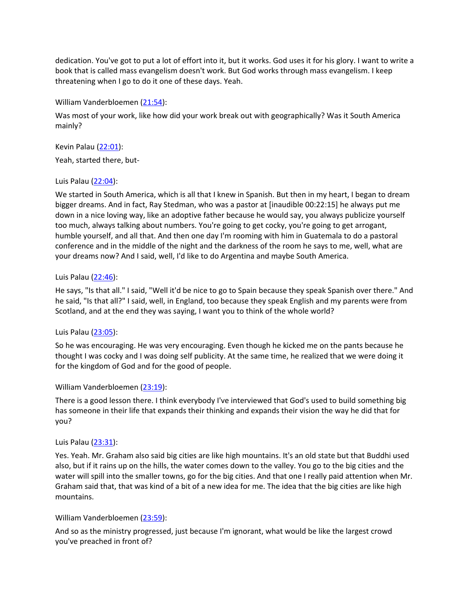dedication. You've got to put a lot of effort into it, but it works. God uses it for his glory. I want to write a book that is called mass evangelism doesn't work. But God works through mass evangelism. I keep threatening when I go to do it one of these days. Yeah.

William Vanderbloemen [\(21:54](https://www.rev.com/transcript-editor/Edit?token=iGE82FkDccUPYeS6jt8H9KGRB4WIxV8MOQuyD_dJ57qK87SyXK55Zzbz3isQC4GXVJoQGqKw3aQcMfusN-YX7rNQfKs&loadFrom=DocumentDeeplink&ts=1314.97)):

Was most of your work, like how did your work break out with geographically? Was it South America mainly?

Kevin Palau [\(22:01\)](https://www.rev.com/transcript-editor/Edit?token=Oct8ZvXKqkm8RIaXZU4njgdNHIrjuPicqFu_WKeQ733zmwK9-7OCGrIUaUURtMvywejA2mQoBQp6AIwChqRIjz3qIz8&loadFrom=DocumentDeeplink&ts=1321.67):

Yeah, started there, but-

## Luis Palau [\(22:04](https://www.rev.com/transcript-editor/Edit?token=25CrpmLRD95P8RVNpwbdL4HWhwEWfnSzbV2umv3QqK2F3q0tLw9dfIQtNjMAdJnn15sgVdsITwFh5mQnBhDGyILjPtw&loadFrom=DocumentDeeplink&ts=1324.04)):

We started in South America, which is all that I knew in Spanish. But then in my heart, I began to dream bigger dreams. And in fact, Ray Stedman, who was a pastor at [inaudible 00:22:15] he always put me down in a nice loving way, like an adoptive father because he would say, you always publicize yourself too much, always talking about numbers. You're going to get cocky, you're going to get arrogant, humble yourself, and all that. And then one day I'm rooming with him in Guatemala to do a pastoral conference and in the middle of the night and the darkness of the room he says to me, well, what are your dreams now? And I said, well, I'd like to do Argentina and maybe South America.

### Luis Palau [\(22:46](https://www.rev.com/transcript-editor/Edit?token=GlEhNL0mGhwoDzCmiIXNZiiHZEwCmgFrIA26U_IC38mCqE9mFOEjyiMNBbTq0PZcqAUJ4AjFQ0rO6psqUj8XjFsUqX4&loadFrom=DocumentDeeplink&ts=1366.33)):

He says, "Is that all." I said, "Well it'd be nice to go to Spain because they speak Spanish over there." And he said, "Is that all?" I said, well, in England, too because they speak English and my parents were from Scotland, and at the end they was saying, I want you to think of the whole world?

## Luis Palau [\(23:05](https://www.rev.com/transcript-editor/Edit?token=dGCMuizzd7C-pbdWBGRhVjb1QiaI4xZ4YAZOvYdI7_h2o8PbKLKk8Qyh4fmCvEv7xFy0eW_vH9AGdSQBeQSRv61TSe4&loadFrom=DocumentDeeplink&ts=1385.36)):

So he was encouraging. He was very encouraging. Even though he kicked me on the pants because he thought I was cocky and I was doing self publicity. At the same time, he realized that we were doing it for the kingdom of God and for the good of people.

William Vanderbloemen [\(23:19](https://www.rev.com/transcript-editor/Edit?token=rtpt8xspSYUPud5mOsyfmSfIGngpDZ09JePrUpxv3QHZeLomSmL0xRTWgdqjpA0zsoe4AP-C-ebYOvUVpg8YFLTVMA8&loadFrom=DocumentDeeplink&ts=1399.41)):

There is a good lesson there. I think everybody I've interviewed that God's used to build something big has someone in their life that expands their thinking and expands their vision the way he did that for you?

## Luis Palau [\(23:31](https://www.rev.com/transcript-editor/Edit?token=xNBLiEYpJ_7KRd4VZy_bsL2p6m-4zI91GBFhCdbSGkAGtQsFSyx2bjAy8Q_capi-v2HJuFsCXyaN__xq-fIf4wvuf4I&loadFrom=DocumentDeeplink&ts=1411.7)):

Yes. Yeah. Mr. Graham also said big cities are like high mountains. It's an old state but that Buddhi used also, but if it rains up on the hills, the water comes down to the valley. You go to the big cities and the water will spill into the smaller towns, go for the big cities. And that one I really paid attention when Mr. Graham said that, that was kind of a bit of a new idea for me. The idea that the big cities are like high mountains.

## William Vanderbloemen [\(23:59](https://www.rev.com/transcript-editor/Edit?token=9JgyrHZ7akvuKDZmsQaYaDGfqtDacYSdoh3yGAYav05ti9XT2SRJwucqMf04qY6oSr_f1MJcb8DzIR7MW8Xh9xjE2YQ&loadFrom=DocumentDeeplink&ts=1439.44)):

And so as the ministry progressed, just because I'm ignorant, what would be like the largest crowd you've preached in front of?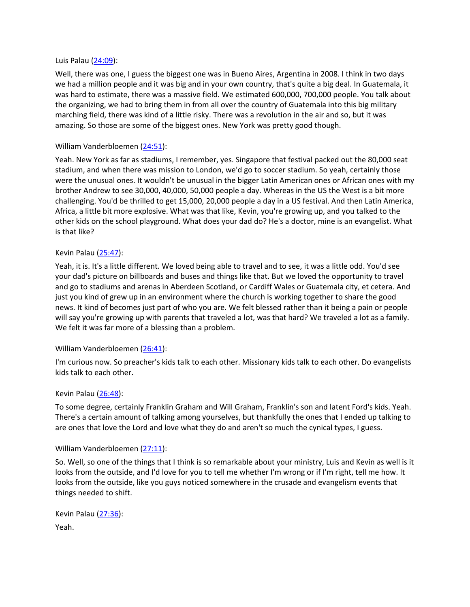### Luis Palau [\(24:09](https://www.rev.com/transcript-editor/Edit?token=rRDTv4fgn4LyauwEsL3UnwbRNi9GLlNwvXiaXn1lilluW5Qz4SkEdupx9tq4nGZJANFEZv96MPlJZdueLsfv1P9f24s&loadFrom=DocumentDeeplink&ts=1449.41)):

Well, there was one, I guess the biggest one was in Bueno Aires, Argentina in 2008. I think in two days we had a million people and it was big and in your own country, that's quite a big deal. In Guatemala, it was hard to estimate, there was a massive field. We estimated 600,000, 700,000 people. You talk about the organizing, we had to bring them in from all over the country of Guatemala into this big military marching field, there was kind of a little risky. There was a revolution in the air and so, but it was amazing. So those are some of the biggest ones. New York was pretty good though.

### William Vanderbloemen [\(24:51](https://www.rev.com/transcript-editor/Edit?token=v_Hm8UEgJqpyJy7Evws-fhCD1MX07DCqO1VG7k9s7o7AKkgSF6ir55yhvfMywRvNNlXGJF7VmevidBOcfqRaBmIVLfA&loadFrom=DocumentDeeplink&ts=1491.16)):

Yeah. New York as far as stadiums, I remember, yes. Singapore that festival packed out the 80,000 seat stadium, and when there was mission to London, we'd go to soccer stadium. So yeah, certainly those were the unusual ones. It wouldn't be unusual in the bigger Latin American ones or African ones with my brother Andrew to see 30,000, 40,000, 50,000 people a day. Whereas in the US the West is a bit more challenging. You'd be thrilled to get 15,000, 20,000 people a day in a US festival. And then Latin America, Africa, a little bit more explosive. What was that like, Kevin, you're growing up, and you talked to the other kids on the school playground. What does your dad do? He's a doctor, mine is an evangelist. What is that like?

### Kevin Palau [\(25:47\)](https://www.rev.com/transcript-editor/Edit?token=9s4wbQH9WW-nu6YpH0khOyBhpWObeJwyPRnLIdjtHVYJdw8BsRUR6ioi1HFSbSV0y-ulBzcO3fzc7aqCoSIIZ4_BQfM&loadFrom=DocumentDeeplink&ts=1547.11):

Yeah, it is. It's a little different. We loved being able to travel and to see, it was a little odd. You'd see your dad's picture on billboards and buses and things like that. But we loved the opportunity to travel and go to stadiums and arenas in Aberdeen Scotland, or Cardiff Wales or Guatemala city, et cetera. And just you kind of grew up in an environment where the church is working together to share the good news. It kind of becomes just part of who you are. We felt blessed rather than it being a pain or people will say you're growing up with parents that traveled a lot, was that hard? We traveled a lot as a family. We felt it was far more of a blessing than a problem.

### William Vanderbloemen [\(26:41](https://www.rev.com/transcript-editor/Edit?token=RnU1LN5IJDIc7m1ybjsv2YzhDgmYYwzsqzRwdfBo7Pp0oOUn6ChQjK64stlxEMdXH9v5PEfKa6nXes91pUCsMqoT2gw&loadFrom=DocumentDeeplink&ts=1601.89)):

I'm curious now. So preacher's kids talk to each other. Missionary kids talk to each other. Do evangelists kids talk to each other.

### Kevin Palau [\(26:48\)](https://www.rev.com/transcript-editor/Edit?token=tQQkb3Z2hJlWfC4FR3swH5vRboJ7vyUzM14jeaGJ6soCi7oHmfEOgzGuOGiP19t6JfpznURwlXMYk7QpavrGKL_TQNI&loadFrom=DocumentDeeplink&ts=1608.38):

To some degree, certainly Franklin Graham and Will Graham, Franklin's son and latent Ford's kids. Yeah. There's a certain amount of talking among yourselves, but thankfully the ones that I ended up talking to are ones that love the Lord and love what they do and aren't so much the cynical types, I guess.

### William Vanderbloemen [\(27:11](https://www.rev.com/transcript-editor/Edit?token=mq1RoML8Ts5E2h8CTQIDY793A95dKCLgia9D9413iqYw1x8ejK1AmQV6cSUnN8pEnWsZu5PPkg9SdyolAtksOMuJsro&loadFrom=DocumentDeeplink&ts=1631.1)):

So. Well, so one of the things that I think is so remarkable about your ministry, Luis and Kevin as well is it looks from the outside, and I'd love for you to tell me whether I'm wrong or if I'm right, tell me how. It looks from the outside, like you guys noticed somewhere in the crusade and evangelism events that things needed to shift.

```
Kevin Palau (27:36):
Yeah.
```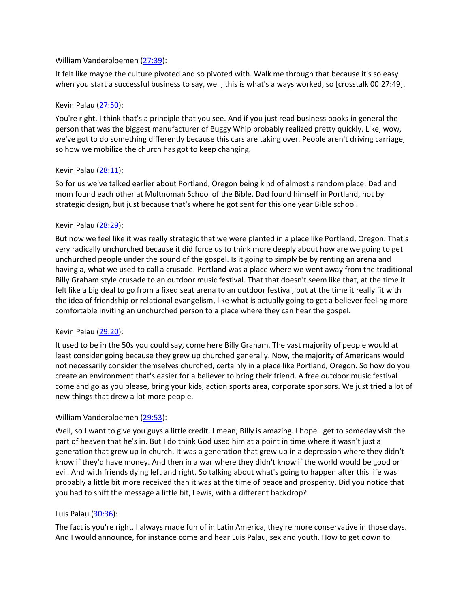### William Vanderbloemen [\(27:39](https://www.rev.com/transcript-editor/Edit?token=_rKRFoSmmz_61tpU253aR97K1kxTH6Ffo56PIIJKqy1hhWJWYh8_ibbN51-2MYz1TUFmh-vgzY0fzcOuQ4qAF3jSxfI&loadFrom=DocumentDeeplink&ts=1659.51)):

It felt like maybe the culture pivoted and so pivoted with. Walk me through that because it's so easy when you start a successful business to say, well, this is what's always worked, so [crosstalk 00:27:49].

### Kevin Palau [\(27:50\)](https://www.rev.com/transcript-editor/Edit?token=5SvdrD86UIp4X9dZ1bZ3beBSfpq8kXWWk_Z7bX-5OqsGB9vJzGakiB2RdMd22-AbD44I0l0gi1-S2kauQi6Mlm1hpTM&loadFrom=DocumentDeeplink&ts=1670.59):

You're right. I think that's a principle that you see. And if you just read business books in general the person that was the biggest manufacturer of Buggy Whip probably realized pretty quickly. Like, wow, we've got to do something differently because this cars are taking over. People aren't driving carriage, so how we mobilize the church has got to keep changing.

### Kevin Palau [\(28:11\)](https://www.rev.com/transcript-editor/Edit?token=EvBDWspDbSOCVAglEf1Ke0RZTFsjsUzpEgcR8jHkM9m-okaV12xNlfpks4mZO4ouGTxYv27ROeS7w9oJnsgsVi3yfbY&loadFrom=DocumentDeeplink&ts=1691.63):

So for us we've talked earlier about Portland, Oregon being kind of almost a random place. Dad and mom found each other at Multnomah School of the Bible. Dad found himself in Portland, not by strategic design, but just because that's where he got sent for this one year Bible school.

### Kevin Palau [\(28:29\)](https://www.rev.com/transcript-editor/Edit?token=FzQpNdO13DJR1abiZ1Dul9qdSbrTN5WbLdra2IhGJ5BlNvGs1EsRXu4pySAxNh2FFA_H991PzBMrFE5vx-yVkVL3y2Q&loadFrom=DocumentDeeplink&ts=1709.19):

But now we feel like it was really strategic that we were planted in a place like Portland, Oregon. That's very radically unchurched because it did force us to think more deeply about how are we going to get unchurched people under the sound of the gospel. Is it going to simply be by renting an arena and having a, what we used to call a crusade. Portland was a place where we went away from the traditional Billy Graham style crusade to an outdoor music festival. That that doesn't seem like that, at the time it felt like a big deal to go from a fixed seat arena to an outdoor festival, but at the time it really fit with the idea of friendship or relational evangelism, like what is actually going to get a believer feeling more comfortable inviting an unchurched person to a place where they can hear the gospel.

## Kevin Palau [\(29:20\)](https://www.rev.com/transcript-editor/Edit?token=bHk7K1VVptrUb_xPmY4HXXlb4qOG2XzGGzjHCwZWNIoJhtT2wfxa5JgFPPnH6QAqADKQAmBNsvnf-iN4L4HT-6kFr58&loadFrom=DocumentDeeplink&ts=1760.67):

It used to be in the 50s you could say, come here Billy Graham. The vast majority of people would at least consider going because they grew up churched generally. Now, the majority of Americans would not necessarily consider themselves churched, certainly in a place like Portland, Oregon. So how do you create an environment that's easier for a believer to bring their friend. A free outdoor music festival come and go as you please, bring your kids, action sports area, corporate sponsors. We just tried a lot of new things that drew a lot more people.

## William Vanderbloemen [\(29:53](https://www.rev.com/transcript-editor/Edit?token=FqvvFAyVL90rTIYL4q5vTvdek5wpcW3fcImmWOp__Bta5dNZmcXPWAn48hpUuRznEiTT_qqQlGQ0O4IFPIbyHKfjUfY&loadFrom=DocumentDeeplink&ts=1793.8)):

Well, so I want to give you guys a little credit. I mean, Billy is amazing. I hope I get to someday visit the part of heaven that he's in. But I do think God used him at a point in time where it wasn't just a generation that grew up in church. It was a generation that grew up in a depression where they didn't know if they'd have money. And then in a war where they didn't know if the world would be good or evil. And with friends dying left and right. So talking about what's going to happen after this life was probably a little bit more received than it was at the time of peace and prosperity. Did you notice that you had to shift the message a little bit, Lewis, with a different backdrop?

## Luis Palau [\(30:36](https://www.rev.com/transcript-editor/Edit?token=_kmg7fcZnd5WGGiOC1MYAJBhXbmTMOuUozTgTOA3KMt8gVAdgKaXcdSlsgV7uC5rMDb27y7Gfmhib084Zhed5wQqeyA&loadFrom=DocumentDeeplink&ts=1836.52)):

The fact is you're right. I always made fun of in Latin America, they're more conservative in those days. And I would announce, for instance come and hear Luis Palau, sex and youth. How to get down to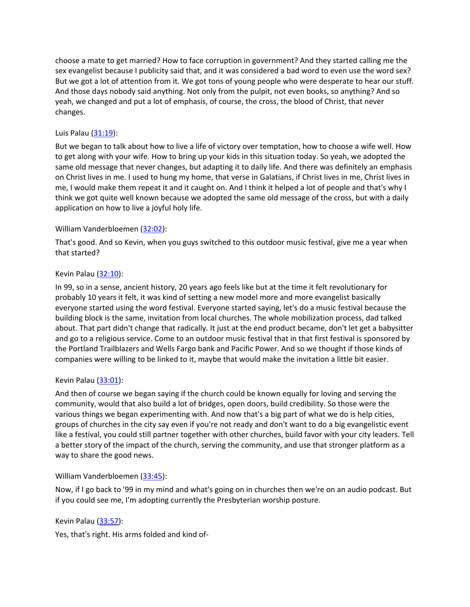choose a mate to get married? How to face corruption in government? And they started calling me the sex evangelist because I publicity said that, and it was considered a bad word to even use the word sex? But we got a lot of attention from it. We got tons of young people who were desperate to hear our stuff. And those days nobody said anything. Not only from the pulpit, not even books, so anything? And so yeah, we changed and put a lot of emphasis, of course, the cross, the blood of Christ, that never changes.

## Luis Palau  $(31:19)$  $(31:19)$ :

But we began to talk about how to live a life of victory over temptation, how to choose a wife well. How to get along with your wife. How to bring up your kids in this situation today. So yeah, we adopted the same old message that never changes, but adapting it to daily life. And there was definitely an emphasis on Christ lives in me. I used to hung my home, that verse in Galatians, if Christ lives in me, Christ lives in me, I would make them repeat it and it caught on. And I think it helped a lot of people and that's why I think we got quite well known because we adopted the same old message of the cross, but with a daily application on how to live a joyful holy life.

## William Vanderbloemen [\(32:02](https://www.rev.com/transcript-editor/Edit?token=Ia6aWUJf_dbg0oD-VZpiQL5PRDdeoW1ifpmSY6VHegNOov9ma_E-SpPQ1uzn9qwHoAgIDT47zBnWMVy4t3lju7rCclM&loadFrom=DocumentDeeplink&ts=1922.9)):

That's good. And so Kevin, when you guys switched to this outdoor music festival, give me a year when that started?

# Kevin Palau [\(32:10\)](https://www.rev.com/transcript-editor/Edit?token=6iAZGm9neJCgx8bMsV-I-gExdwN9WQH7TJIfYG1DFdTL_2ny78bytmT5x04Eg-4yxeTA0kPE2jFz9-KN88CYbmKlWPc&loadFrom=DocumentDeeplink&ts=1930.09):

In 99, so in a sense, ancient history, 20 years ago feels like but at the time it felt revolutionary for probably 10 years it felt, it was kind of setting a new model more and more evangelist basically everyone started using the word festival. Everyone started saying, let's do a music festival because the building block is the same, invitation from local churches. The whole mobilization process, dad talked about. That part didn't change that radically. It just at the end product became, don't let get a babysitter and go to a religious service. Come to an outdoor music festival that in that first festival is sponsored by the Portland Trailblazers and Wells Fargo bank and Pacific Power. And so we thought if those kinds of companies were willing to be linked to it, maybe that would make the invitation a little bit easier.

## Kevin Palau [\(33:01\)](https://www.rev.com/transcript-editor/Edit?token=vEHJK6w-G3iSkmiMxAsaWf2L77R0SL3qzcvyVnYS4es49jjtIRT4YtmfH9YJRvZlGuAf-B0A1-RkLVRa7iGMTdnt28E&loadFrom=DocumentDeeplink&ts=1981.36):

And then of course we began saying if the church could be known equally for loving and serving the community, would that also build a lot of bridges, open doors, build credibility. So those were the various things we began experimenting with. And now that's a big part of what we do is help cities, groups of churches in the city say even if you're not ready and don't want to do a big evangelistic event like a festival, you could still partner together with other churches, build favor with your city leaders. Tell a better story of the impact of the church, serving the community, and use that stronger platform as a way to share the good news.

## William Vanderbloemen [\(33:45](https://www.rev.com/transcript-editor/Edit?token=1c59FB46O0vsQfX2ac2UhxzP4hgGeKjNFJHcpxnQtZ5PQl-8nGSszpY6xgVtPnkIGCdEu-vgd4DaXm-k1SKLJWZo9TY&loadFrom=DocumentDeeplink&ts=2025.44)):

Now, if I go back to '99 in my mind and what's going on in churches then we're on an audio podcast. But if you could see me, I'm adopting currently the Presbyterian worship posture.

Kevin Palau [\(33:57\)](https://www.rev.com/transcript-editor/Edit?token=WlAl7JRjeSSABYhNtxFtOHeHSGdykNJ5lmD_Qgs4eMWAnJht1iqp-MqAhcm96wQqlZa1vBr9SwDUMIvuyPvOQIlHMRc&loadFrom=DocumentDeeplink&ts=2037.05):

Yes, that's right. His arms folded and kind of-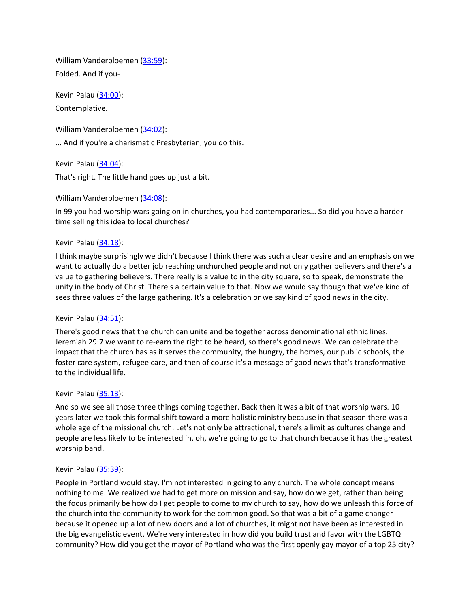William Vanderbloemen [\(33:59](https://www.rev.com/transcript-editor/Edit?token=ANk7I9ggTkWdcb9hWn1bZJ0ncgUwS__Vf4gCkla45lHB5sa2o8w3dC3IBM_RBbtNGNXGAVUiAyF2By9FeH-V2vwP8VI&loadFrom=DocumentDeeplink&ts=2039.28)): Folded. And if you-

Kevin Palau [\(34:00\)](https://www.rev.com/transcript-editor/Edit?token=9m1g461YnL0sqeHHYdQxu-_shB7AnrmGUp5Gy3Nr7L_TpGr-HaDIea0MhT_XCrmjSqnx6ij5UklRtezQJSYGaVTyTsg&loadFrom=DocumentDeeplink&ts=2040.79): Contemplative.

William Vanderbloemen [\(34:02](https://www.rev.com/transcript-editor/Edit?token=5OJwbaWeVrTgn-HRS5FUW-9ePSL3ZfI8O0RbZyeGXofL5WmTjdBUO8Q8XzlMrpNMPjVQutBOcVE3baZ0Ufq76AX4WWI&loadFrom=DocumentDeeplink&ts=2042.07)):

... And if you're a charismatic Presbyterian, you do this.

Kevin Palau [\(34:04\)](https://www.rev.com/transcript-editor/Edit?token=edAosCq7gmr674T6y_lsdzev0TnIRezU8CVwyMohNlJBY6iHO3tXCTbLd2KE9cz9HoRCA1kvlOkIcY7oIewK3D_ADjA&loadFrom=DocumentDeeplink&ts=2044.21):

That's right. The little hand goes up just a bit.

William Vanderbloemen [\(34:08](https://www.rev.com/transcript-editor/Edit?token=VuBHz0GvlpfYiFzhd6WTOaAOkddtPYhcds0nUCTkaL3SCI4Jnxz2ht04-Oa-Uol7FyKJtET6adJ8fZHBRI4R8djEABk&loadFrom=DocumentDeeplink&ts=2048.59)):

In 99 you had worship wars going on in churches, you had contemporaries... So did you have a harder time selling this idea to local churches?

### Kevin Palau [\(34:18\)](https://www.rev.com/transcript-editor/Edit?token=YKR9Xzr-QVIalYX-EmtD5Jg3Smw3xCd4zp84IuMWu0vsA_HCKQyOGqd-iRJodGglr32ckn7FlPYHNXWso8xI0ska4F4&loadFrom=DocumentDeeplink&ts=2058.64):

I think maybe surprisingly we didn't because I think there was such a clear desire and an emphasis on we want to actually do a better job reaching unchurched people and not only gather believers and there's a value to gathering believers. There really is a value to in the city square, so to speak, demonstrate the unity in the body of Christ. There's a certain value to that. Now we would say though that we've kind of sees three values of the large gathering. It's a celebration or we say kind of good news in the city.

## Kevin Palau [\(34:51\)](https://www.rev.com/transcript-editor/Edit?token=zDJ_8UEAGJYzumOxdEibQCIvNKKz9-_eDKAfxPiZOYYorDkSQH-FdqDvCOBQ0GQfA8uuBMR7mesAiUl9E86xVktFdL8&loadFrom=DocumentDeeplink&ts=2091.44):

There's good news that the church can unite and be together across denominational ethnic lines. Jeremiah 29:7 we want to re-earn the right to be heard, so there's good news. We can celebrate the impact that the church has as it serves the community, the hungry, the homes, our public schools, the foster care system, refugee care, and then of course it's a message of good news that's transformative to the individual life.

### Kevin Palau [\(35:13\)](https://www.rev.com/transcript-editor/Edit?token=a_4MeiBOaWKBLHdEqAQVfp1qkQjwOGX8DZ2g8b15PDsWHezPZPxRwHXLDLNCeO_39sa_fRbs9l4IBw_7ycXOc53V7_c&loadFrom=DocumentDeeplink&ts=2113.75):

And so we see all those three things coming together. Back then it was a bit of that worship wars. 10 years later we took this formal shift toward a more holistic ministry because in that season there was a whole age of the missional church. Let's not only be attractional, there's a limit as cultures change and people are less likely to be interested in, oh, we're going to go to that church because it has the greatest worship band.

## Kevin Palau [\(35:39\)](https://www.rev.com/transcript-editor/Edit?token=UmRH_el62UvVX1CRHKWcqRAOjv4KcH7JgtquofAFxnvDuLB00ignGzCQY4HF6qIDD5fmIqjVjV1ahqRmyTe9x8hnIF0&loadFrom=DocumentDeeplink&ts=2139.91):

People in Portland would stay. I'm not interested in going to any church. The whole concept means nothing to me. We realized we had to get more on mission and say, how do we get, rather than being the focus primarily be how do I get people to come to my church to say, how do we unleash this force of the church into the community to work for the common good. So that was a bit of a game changer because it opened up a lot of new doors and a lot of churches, it might not have been as interested in the big evangelistic event. We're very interested in how did you build trust and favor with the LGBTQ community? How did you get the mayor of Portland who was the first openly gay mayor of a top 25 city?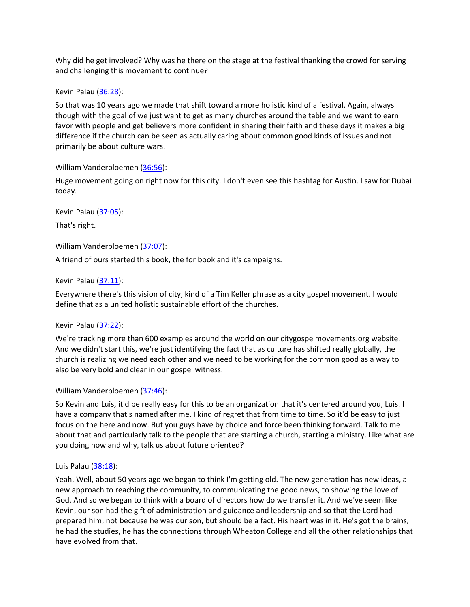Why did he get involved? Why was he there on the stage at the festival thanking the crowd for serving and challenging this movement to continue?

### Kevin Palau [\(36:28\)](https://www.rev.com/transcript-editor/Edit?token=sDcB-bNPsU0iL3Eq5lCTan3H2Do3q2vBm3zRF1uYUrmOqLedqpM-jia-WOjHgFRTHfb0BRfR_Q4R6kBiZ-QWPj5VxFs&loadFrom=DocumentDeeplink&ts=2188.88):

So that was 10 years ago we made that shift toward a more holistic kind of a festival. Again, always though with the goal of we just want to get as many churches around the table and we want to earn favor with people and get believers more confident in sharing their faith and these days it makes a big difference if the church can be seen as actually caring about common good kinds of issues and not primarily be about culture wars.

William Vanderbloemen [\(36:56](https://www.rev.com/transcript-editor/Edit?token=xvLnlzCaRo6zBSJRn7OYT4qLeZ6nNZ5oYG8fspD0Nl9skIYn4MyXSjgULp2LKvRjXeuB5RbPKMHqVP3UQzSIVpU7Zds&loadFrom=DocumentDeeplink&ts=2216.56)):

Huge movement going on right now for this city. I don't even see this hashtag for Austin. I saw for Dubai today.

Kevin Palau [\(37:05\)](https://www.rev.com/transcript-editor/Edit?token=E5tuKOITm9rY5h8Cq4MU2K3iVNaJxFwp5F-H2uulrkKakhQTgF7GVHTHb4cdunETlnoKx3nHGs2HAwusX3Ed1BJRAc4&loadFrom=DocumentDeeplink&ts=2225.69): That's right.

William Vanderbloemen [\(37:07](https://www.rev.com/transcript-editor/Edit?token=FlrzC8mGLLjfBCHbd0dxP6vMgBPMoEXPvTBCzMJDTTIwgqF8As33662l0ieBZLcgBde8YIZqo95w0K8D59NG91FmZJ4&loadFrom=DocumentDeeplink&ts=2227.25)):

A friend of ours started this book, the for book and it's campaigns.

### Kevin Palau [\(37:11\)](https://www.rev.com/transcript-editor/Edit?token=Bsk1BeY0iub6ECcxyDAw8QzjyzvndEmV9PD-bU4U9lOhA7SW2TMfddwu3i_iQKbh31_msnq2P9XvfyhQp441lJzy4IQ&loadFrom=DocumentDeeplink&ts=2231.03):

Everywhere there's this vision of city, kind of a Tim Keller phrase as a city gospel movement. I would define that as a united holistic sustainable effort of the churches.

## Kevin Palau [\(37:22\)](https://www.rev.com/transcript-editor/Edit?token=3atUj9ohtwReCnQMQ77SGHGsrhaNYDxoRnY_nu-jJl2GW_JmXsuuExySwtUjgRtLgVTsXK3s-zc8U80DUdNM8yXFo0Q&loadFrom=DocumentDeeplink&ts=2242.86):

We're tracking more than 600 examples around the world on our citygospelmovements.org website. And we didn't start this, we're just identifying the fact that as culture has shifted really globally, the church is realizing we need each other and we need to be working for the common good as a way to also be very bold and clear in our gospel witness.

### William Vanderbloemen [\(37:46](https://www.rev.com/transcript-editor/Edit?token=ZwMLbsitfcqivBSA7OllLU9ypiZxW2Y9BRr8gwUMb6mmriZqEVGGmHkF-IEfT2TMKN7N9RBcrsK8lRW-PL4svsNZzAk&loadFrom=DocumentDeeplink&ts=2266.03)):

So Kevin and Luis, it'd be really easy for this to be an organization that it's centered around you, Luis. I have a company that's named after me. I kind of regret that from time to time. So it'd be easy to just focus on the here and now. But you guys have by choice and force been thinking forward. Talk to me about that and particularly talk to the people that are starting a church, starting a ministry. Like what are you doing now and why, talk us about future oriented?

### Luis Palau  $(38:18)$  $(38:18)$ :

Yeah. Well, about 50 years ago we began to think I'm getting old. The new generation has new ideas, a new approach to reaching the community, to communicating the good news, to showing the love of God. And so we began to think with a board of directors how do we transfer it. And we've seem like Kevin, our son had the gift of administration and guidance and leadership and so that the Lord had prepared him, not because he was our son, but should be a fact. His heart was in it. He's got the brains, he had the studies, he has the connections through Wheaton College and all the other relationships that have evolved from that.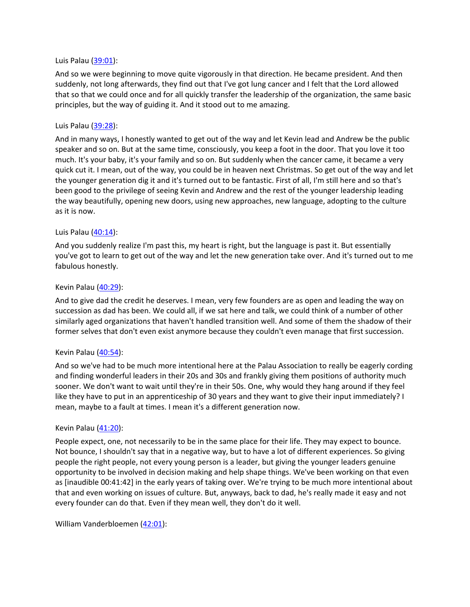### Luis Palau [\(39:01](https://www.rev.com/transcript-editor/Edit?token=KaK78I9DLu9blowqjY9_mWmGj2qSpxi0y0_ke2hsmbXh_jvnP4l3HeI6NeXlU5Al4x721MU3Q5mrnGCDcMP9MWHwANo&loadFrom=DocumentDeeplink&ts=2341.9)):

And so we were beginning to move quite vigorously in that direction. He became president. And then suddenly, not long afterwards, they find out that I've got lung cancer and I felt that the Lord allowed that so that we could once and for all quickly transfer the leadership of the organization, the same basic principles, but the way of guiding it. And it stood out to me amazing.

### Luis Palau [\(39:28](https://www.rev.com/transcript-editor/Edit?token=HVRqp9UqXBFhloWVr2W_pCDW2ZUy25w3oBcwmhb9bTqJlBhK4y7SWo0Er62UyL6beutqBULObMD81gs20bnydDHkiJ0&loadFrom=DocumentDeeplink&ts=2368.47)):

And in many ways, I honestly wanted to get out of the way and let Kevin lead and Andrew be the public speaker and so on. But at the same time, consciously, you keep a foot in the door. That you love it too much. It's your baby, it's your family and so on. But suddenly when the cancer came, it became a very quick cut it. I mean, out of the way, you could be in heaven next Christmas. So get out of the way and let the younger generation dig it and it's turned out to be fantastic. First of all, I'm still here and so that's been good to the privilege of seeing Kevin and Andrew and the rest of the younger leadership leading the way beautifully, opening new doors, using new approaches, new language, adopting to the culture as it is now.

### Luis Palau [\(40:14](https://www.rev.com/transcript-editor/Edit?token=UPW3wUz-YA5kOo6kkFndZacglATmsMCQWcWtKbR8ox2iZqKgIX2P-dJ7nWgsxqWBatrRZXv876NnpftUUBurStCzEwM&loadFrom=DocumentDeeplink&ts=2414.21)):

And you suddenly realize I'm past this, my heart is right, but the language is past it. But essentially you've got to learn to get out of the way and let the new generation take over. And it's turned out to me fabulous honestly.

#### Kevin Palau [\(40:29\)](https://www.rev.com/transcript-editor/Edit?token=NUKE7woAru7sw9m-rKjLesCE_CbHGbaHE4fE0cD82Yu-z-Q5QAytqiqufwcJuiDBjFY83Q7XAjZqo5p0m0lkZzfTzvY&loadFrom=DocumentDeeplink&ts=2429.05):

And to give dad the credit he deserves. I mean, very few founders are as open and leading the way on succession as dad has been. We could all, if we sat here and talk, we could think of a number of other similarly aged organizations that haven't handled transition well. And some of them the shadow of their former selves that don't even exist anymore because they couldn't even manage that first succession.

#### Kevin Palau  $(40:54)$ :

And so we've had to be much more intentional here at the Palau Association to really be eagerly cording and finding wonderful leaders in their 20s and 30s and frankly giving them positions of authority much sooner. We don't want to wait until they're in their 50s. One, why would they hang around if they feel like they have to put in an apprenticeship of 30 years and they want to give their input immediately? I mean, maybe to a fault at times. I mean it's a different generation now.

#### Kevin Palau  $(41:20)$ :

People expect, one, not necessarily to be in the same place for their life. They may expect to bounce. Not bounce, I shouldn't say that in a negative way, but to have a lot of different experiences. So giving people the right people, not every young person is a leader, but giving the younger leaders genuine opportunity to be involved in decision making and help shape things. We've been working on that even as [inaudible 00:41:42] in the early years of taking over. We're trying to be much more intentional about that and even working on issues of culture. But, anyways, back to dad, he's really made it easy and not every founder can do that. Even if they mean well, they don't do it well.

William Vanderbloemen [\(42:01](https://www.rev.com/transcript-editor/Edit?token=MJ-zVLYSCeprq1rnrquzKCUKVQKvXqaORoAaUQUMGaJZATC1BUC_rnXj3v-uZn5RBSSm8E6gkF4cSN7tiMtZkFamepQ&loadFrom=DocumentDeeplink&ts=2521.67)):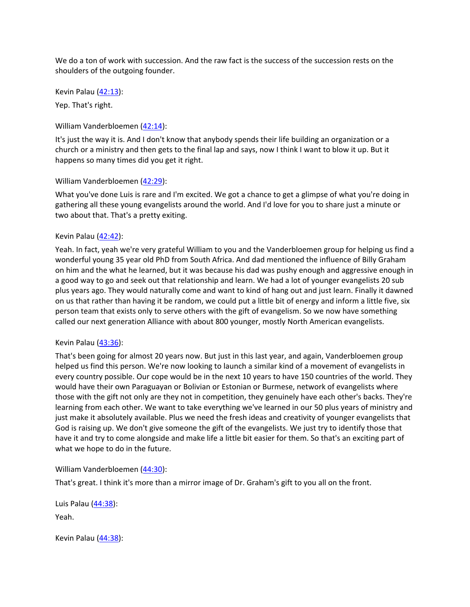We do a ton of work with succession. And the raw fact is the success of the succession rests on the shoulders of the outgoing founder.

Kevin Palau [\(42:13\)](https://www.rev.com/transcript-editor/Edit?token=zMTaleVfTOj5CPMl1Us2EtVIr3vC2U4FMSxY7tf5tEnYFPSnI3ju429SvdUDLTYy7MZjnsCfwjRr7aA1G-BMuysnS7Q&loadFrom=DocumentDeeplink&ts=2533.87):

Yep. That's right.

William Vanderbloemen [\(42:14](https://www.rev.com/transcript-editor/Edit?token=yUCZxoOfRICM3FtJF8a5i5woxM02yuue9Ae4uO7ehny597dgSYKvs18LfueLBb4REwrhDUphNE2THuJfkpKhOvKjSDU&loadFrom=DocumentDeeplink&ts=2534.66)):

It's just the way it is. And I don't know that anybody spends their life building an organization or a church or a ministry and then gets to the final lap and says, now I think I want to blow it up. But it happens so many times did you get it right.

### William Vanderbloemen [\(42:29](https://www.rev.com/transcript-editor/Edit?token=3FfAEyr3UI1B1G1ZvetOmoit4KmhMeP6CnwYUn--f-fPKbbimPbN5KdAU5rN3EYUyInbU9OKbcCWBksLhlDAHQ2ieqo&loadFrom=DocumentDeeplink&ts=2549.78)):

What you've done Luis is rare and I'm excited. We got a chance to get a glimpse of what you're doing in gathering all these young evangelists around the world. And I'd love for you to share just a minute or two about that. That's a pretty exiting.

### Kevin Palau [\(42:42\)](https://www.rev.com/transcript-editor/Edit?token=QdiIxrCYQ04sZVegS5AgW4SF2bCmjW2uy7VsVlp_8kp-TC8llyqvXXg8F16Mn6Cwcya-cSJW__ewgEKzjNI69kjoauk&loadFrom=DocumentDeeplink&ts=2562.11):

Yeah. In fact, yeah we're very grateful William to you and the Vanderbloemen group for helping us find a wonderful young 35 year old PhD from South Africa. And dad mentioned the influence of Billy Graham on him and the what he learned, but it was because his dad was pushy enough and aggressive enough in a good way to go and seek out that relationship and learn. We had a lot of younger evangelists 20 sub plus years ago. They would naturally come and want to kind of hang out and just learn. Finally it dawned on us that rather than having it be random, we could put a little bit of energy and inform a little five, six person team that exists only to serve others with the gift of evangelism. So we now have something called our next generation Alliance with about 800 younger, mostly North American evangelists.

### Kevin Palau  $(43:36)$ :

That's been going for almost 20 years now. But just in this last year, and again, Vanderbloemen group helped us find this person. We're now looking to launch a similar kind of a movement of evangelists in every country possible. Our cope would be in the next 10 years to have 150 countries of the world. They would have their own Paraguayan or Bolivian or Estonian or Burmese, network of evangelists where those with the gift not only are they not in competition, they genuinely have each other's backs. They're learning from each other. We want to take everything we've learned in our 50 plus years of ministry and just make it absolutely available. Plus we need the fresh ideas and creativity of younger evangelists that God is raising up. We don't give someone the gift of the evangelists. We just try to identify those that have it and try to come alongside and make life a little bit easier for them. So that's an exciting part of what we hope to do in the future.

William Vanderbloemen [\(44:30](https://www.rev.com/transcript-editor/Edit?token=Lra0aE_XLHuAqshh0qSiKaFTbn5Z1RxOBmHiyqCloufVkv2iaKG3qjkRtmS0S4nCHhDV8dds8-DPd-8FW1yFn9Cs_9c&loadFrom=DocumentDeeplink&ts=2670.99)):

That's great. I think it's more than a mirror image of Dr. Graham's gift to you all on the front.

Luis Palau [\(44:38](https://www.rev.com/transcript-editor/Edit?token=VIcqEyM5bawvth7yVb8V6oHN4nR0kkEkmkLHD4C9cPw8Tvsr-4ot3Qsa5zIgZtgoPh12IBo8CQXJ5TN8hp4yEqJzNcE&loadFrom=DocumentDeeplink&ts=2678.21)): Yeah.

Kevin Palau [\(44:38\)](https://www.rev.com/transcript-editor/Edit?token=em1kqjEISMAMdporFsEErz5t9FHQrMeuhGL-aNrupMcZSpG85Mwxfeqyr5qEnUcOArqmRXKnWrkrR7Me8kJ-mbVS5TA&loadFrom=DocumentDeeplink&ts=2678.47):